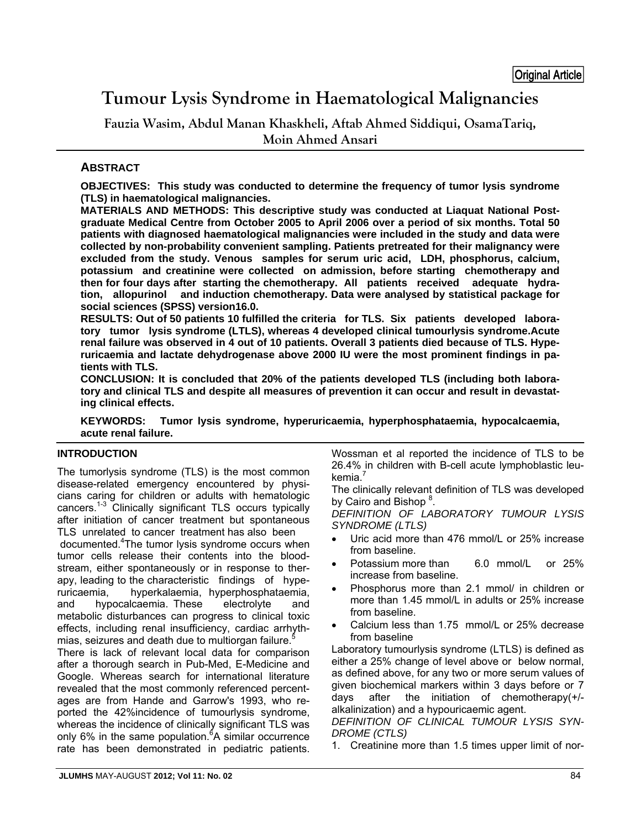# **Tumour Lysis Syndrome in Haematological Malignancies**

**Fauzia Wasim, Abdul Manan Khaskheli, Aftab Ahmed Siddiqui, OsamaTariq, Moin Ahmed Ansari** 

## **ABSTRACT**

**OBJECTIVES: This study was conducted to determine the frequency of tumor lysis syndrome (TLS) in haematological malignancies.** 

**MATERIALS AND METHODS: This descriptive study was conducted at Liaquat National Postgraduate Medical Centre from October 2005 to April 2006 over a period of six months. Total 50 patients with diagnosed haematological malignancies were included in the study and data were collected by non-probability convenient sampling. Patients pretreated for their malignancy were excluded from the study. Venous samples for serum uric acid, LDH, phosphorus, calcium, potassium and creatinine were collected on admission, before starting chemotherapy and then for four days after starting the chemotherapy. All patients received adequate hydration, allopurinol and induction chemotherapy. Data were analysed by statistical package for social sciences (SPSS) version16.0.** 

**RESULTS: Out of 50 patients 10 fulfilled the criteria for TLS. Six patients developed laboratory tumor lysis syndrome (LTLS), whereas 4 developed clinical tumourlysis syndrome.Acute renal failure was observed in 4 out of 10 patients. Overall 3 patients died because of TLS. Hyperuricaemia and lactate dehydrogenase above 2000 IU were the most prominent findings in patients with TLS.** 

**CONCLUSION: It is concluded that 20% of the patients developed TLS (including both laboratory and clinical TLS and despite all measures of prevention it can occur and result in devastating clinical effects.** 

**KEYWORDS: Tumor lysis syndrome, hyperuricaemia, hyperphosphataemia, hypocalcaemia, acute renal failure.**

#### **INTRODUCTION**

The tumorlysis syndrome (TLS) is the most common disease-related emergency encountered by physicians caring for children or adults with hematologic cancers.1-3 Clinically significant TLS occurs typically after initiation of cancer treatment but spontaneous TLS unrelated to cancer treatment has also been

 documented.4 The tumor lysis syndrome occurs when tumor cells release their contents into the bloodstream, either spontaneously or in response to therapy, leading to the characteristic findings of hyperuricaemia, hyperkalaemia, hyperphosphataemia, and hypocalcaemia. These electrolyte and metabolic disturbances can progress to clinical toxic effects, including renal insufficiency, cardiac arrhythmias, seizures and death due to multiorgan failure.<sup>5</sup>

There is lack of relevant local data for comparison after a thorough search in Pub-Med, E-Medicine and Google. Whereas search for international literature revealed that the most commonly referenced percentages are from Hande and Garrow's 1993, who reported the 42%incidence of tumourlysis syndrome, whereas the incidence of clinically significant TLS was only 6% in the same population.<sup>6</sup>A similar occurrence rate has been demonstrated in pediatric patients.

Wossman et al reported the incidence of TLS to be 26.4% in children with B-cell acute lymphoblastic leukemia. $<sup>7</sup>$ </sup>

The clinically relevant definition of TLS was developed by Cairo and Bishop<sup>8</sup>.

*DEFINITION OF LABORATORY TUMOUR LYSIS SYNDROME (LTLS)* 

- Uric acid more than 476 mmol/L or 25% increase from baseline.
- Potassium more than 6.0 mmol/L or 25% increase from baseline.
- Phosphorus more than 2.1 mmol/ in children or more than 1.45 mmol/L in adults or 25% increase from baseline.
- Calcium less than 1.75 mmol/L or 25% decrease from baseline

Laboratory tumourlysis syndrome (LTLS) is defined as either a 25% change of level above or below normal, as defined above, for any two or more serum values of given biochemical markers within 3 days before or 7 days after the initiation of chemotherapy(+/ alkalinization) and a hypouricaemic agent.

*DEFINITION OF CLINICAL TUMOUR LYSIS SYN-DROME (CTLS)* 

1. Creatinine more than 1.5 times upper limit of nor-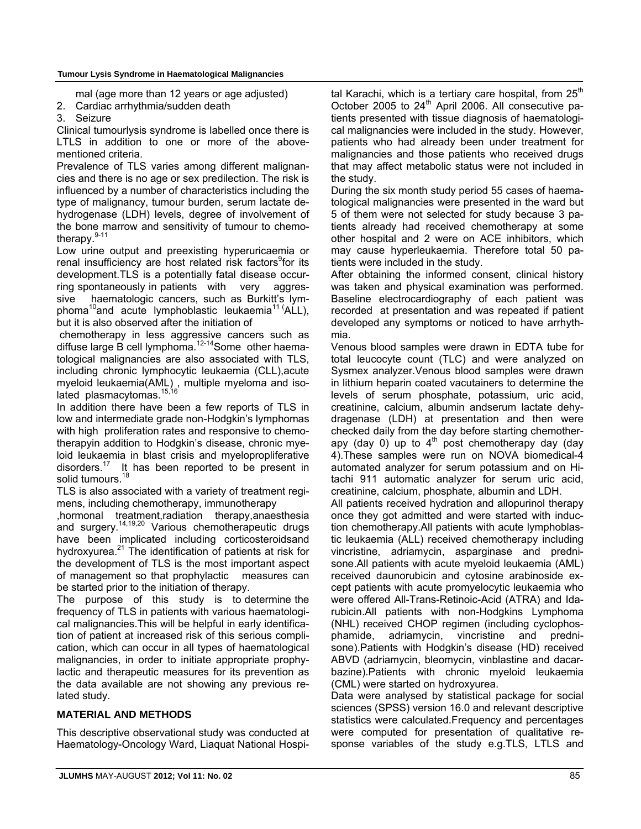mal (age more than 12 years or age adjusted)

- 2. Cardiac arrhythmia/sudden death
- 3. Seizure

Clinical tumourlysis syndrome is labelled once there is LTLS in addition to one or more of the abovementioned criteria.

Prevalence of TLS varies among different malignancies and there is no age or sex predilection. The risk is influenced by a number of characteristics including the type of malignancy, tumour burden, serum lactate dehydrogenase (LDH) levels, degree of involvement of the bone marrow and sensitivity of tumour to chemotherapy.<sup>9-11</sup>

Low urine output and preexisting hyperuricaemia or renal insufficiency are host related risk factors<sup>9</sup>for its development.TLS is a potentially fatal disease occurring spontaneously in patients with very aggressive haematologic cancers, such as Burkitt's lymphoma<sup>10</sup>and acute lymphoblastic leukaemia<sup>11 (</sup>ALL), but it is also observed after the initiation of

 chemotherapy in less aggressive cancers such as diffuse large B cell lymphoma. $12-14$ Some other haematological malignancies are also associated with TLS, including chronic lymphocytic leukaemia (CLL),acute myeloid leukaemia(AML) , multiple myeloma and isolated plasmacytomas.<sup>15,16</sup>

In addition there have been a few reports of TLS in low and intermediate grade non-Hodgkin's lymphomas with high proliferation rates and responsive to chemotherapyin addition to Hodgkin's disease, chronic myeloid leukaemia in blast crisis and myelopropliferative disorders. $17$  It has been reported to be present in solid tumours.<sup>18</sup>

TLS is also associated with a variety of treatment regimens, including chemotherapy, immunotherapy

,hormonal treatment,radiation therapy,anaesthesia and surgery.14,19,20 Various chemotherapeutic drugs have been implicated including corticosteroidsand hydroxyurea.<sup>21</sup> The identification of patients at risk for the development of TLS is the most important aspect of management so that prophylactic measures can be started prior to the initiation of therapy.

The purpose of this study is to determine the frequency of TLS in patients with various haematological malignancies.This will be helpful in early identification of patient at increased risk of this serious complication, which can occur in all types of haematological malignancies, in order to initiate appropriate prophylactic and therapeutic measures for its prevention as the data available are not showing any previous related study.

### **MATERIAL AND METHODS**

This descriptive observational study was conducted at Haematology-Oncology Ward, Liaquat National Hospital Karachi, which is a tertiary care hospital, from  $25<sup>th</sup>$ October 2005 to  $24<sup>th</sup>$  April 2006. All consecutive patients presented with tissue diagnosis of haematological malignancies were included in the study. However, patients who had already been under treatment for malignancies and those patients who received drugs that may affect metabolic status were not included in the study.

During the six month study period 55 cases of haematological malignancies were presented in the ward but 5 of them were not selected for study because 3 patients already had received chemotherapy at some other hospital and 2 were on ACE inhibitors, which may cause hyperleukaemia. Therefore total 50 patients were included in the study.

After obtaining the informed consent, clinical history was taken and physical examination was performed. Baseline electrocardiography of each patient was recorded at presentation and was repeated if patient developed any symptoms or noticed to have arrhythmia.

Venous blood samples were drawn in EDTA tube for total leucocyte count (TLC) and were analyzed on Sysmex analyzer.Venous blood samples were drawn in lithium heparin coated vacutainers to determine the levels of serum phosphate, potassium, uric acid, creatinine, calcium, albumin andserum lactate dehydragenase (LDH) at presentation and then were checked daily from the day before starting chemotherapy (day 0) up to  $4<sup>th</sup>$  post chemotherapy day (day 4).These samples were run on NOVA biomedical-4 automated analyzer for serum potassium and on Hitachi 911 automatic analyzer for serum uric acid, creatinine, calcium, phosphate, albumin and LDH.

All patients received hydration and allopurinol therapy once they got admitted and were started with induction chemotherapy.All patients with acute lymphoblastic leukaemia (ALL) received chemotherapy including vincristine, adriamycin, asparginase and prednisone.All patients with acute myeloid leukaemia (AML) received daunorubicin and cytosine arabinoside except patients with acute promyelocytic leukaemia who were offered All-Trans-Retinoic-Acid (ATRA) and Idarubicin.All patients with non-Hodgkins Lymphoma (NHL) received CHOP regimen (including cyclophosphamide, adriamycin, vincristine and prednisone).Patients with Hodgkin's disease (HD) received ABVD (adriamycin, bleomycin, vinblastine and dacarbazine).Patients with chronic myeloid leukaemia (CML) were started on hydroxyurea.

Data were analysed by statistical package for social sciences (SPSS) version 16.0 and relevant descriptive statistics were calculated.Frequency and percentages were computed for presentation of qualitative response variables of the study e.g.TLS, LTLS and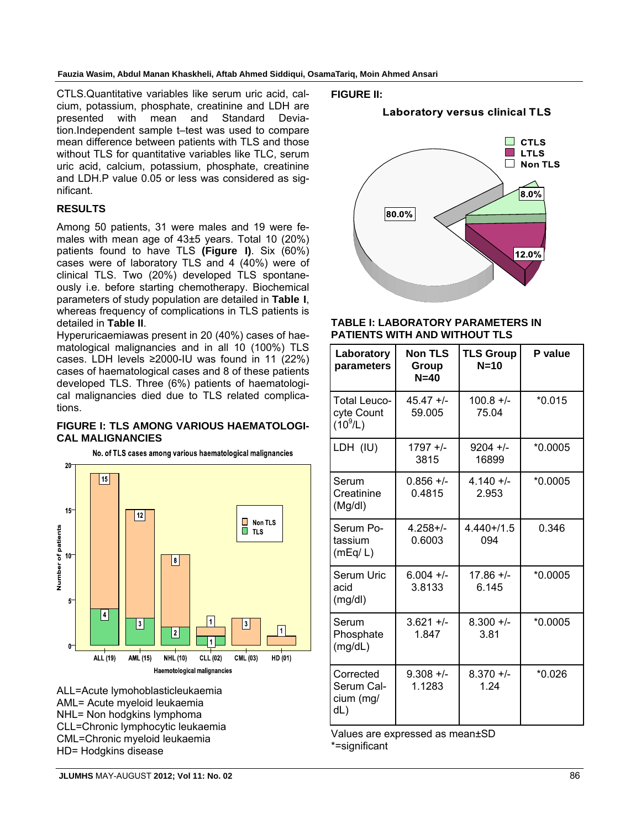**Fauzia Wasim, Abdul Manan Khaskheli, Aftab Ahmed Siddiqui, OsamaTariq, Moin Ahmed Ansari** 

CTLS.Quantitative variables like serum uric acid, calcium, potassium, phosphate, creatinine and LDH are presented with mean and Standard Deviation.Independent sample t–test was used to compare mean difference between patients with TLS and those without TLS for quantitative variables like TLC, serum uric acid, calcium, potassium, phosphate, creatinine and LDH.P value 0.05 or less was considered as significant.

#### **RESULTS**

Among 50 patients, 31 were males and 19 were females with mean age of 43±5 years. Total 10 (20%) patients found to have TLS **(Figure I)**. Six (60%) cases were of laboratory TLS and 4 (40%) were of clinical TLS. Two (20%) developed TLS spontaneously i.e. before starting chemotherapy. Biochemical parameters of study population are detailed in **Table I**, whereas frequency of complications in TLS patients is detailed in **Table II**.

Hyperuricaemiawas present in 20 (40%) cases of haematological malignancies and in all 10 (100%) TLS cases. LDH levels ≥2000-IU was found in 11 (22%) cases of haematological cases and 8 of these patients developed TLS. Three (6%) patients of haematological malignancies died due to TLS related complications.

#### **FIGURE I: TLS AMONG VARIOUS HAEMATOLOGI-CAL MALIGNANCIES**

No. of TLS cases among various haematological malignancies



ALL=Acute lymohoblasticleukaemia AML= Acute myeloid leukaemia NHL= Non hodgkins lymphoma CLL=Chronic lymphocytic leukaemia CML=Chronic myeloid leukaemia HD= Hodgkins disease

**FIGURE II:**

#### **Laboratory versus clinical TLS**



#### **TABLE I: LABORATORY PARAMETERS IN PATIENTS WITH AND WITHOUT TLS**

| Laboratory<br>parameters                        | <b>Non TLS</b><br>Group<br>$N=40$ | <b>TLS Group</b><br>$N=10$ | P value   |
|-------------------------------------------------|-----------------------------------|----------------------------|-----------|
| <b>Total Leuco-</b><br>cyte Count<br>$(10^9/L)$ | $45.47 +/-$<br>59.005             | $100.8 +/-$<br>75.04       | $*0.015$  |
| LDH (IU)                                        | $1797 +/-$<br>3815                | $9204 +/-$<br>16899        | $*0.0005$ |
| Serum<br>Creatinine<br>(Mg/dl)                  | $0.856 +/-$<br>0.4815             | $4.140 +/-$<br>2.953       | $*0.0005$ |
| Serum Po-<br>tassium<br>(mEq/L)                 | $4.258 + 1$<br>0.6003             | $4.440 + 1.5$<br>094       | 0.346     |
| Serum Uric<br>acid<br>(mg/dl)                   | $6.004 +/-$<br>3.8133             | $17.86 +/-$<br>6.145       | $*0.0005$ |
| Serum<br>Phosphate<br>(mg/dL)                   | $3.621 +/-$<br>1.847              | $8.300 +/-$<br>3.81        | $*0.0005$ |
| Corrected<br>Serum Cal-<br>cium (mg/<br>dL)     | $9.308 +/-$<br>1.1283             | $8.370 +/-$<br>1.24        | $*0.026$  |

Values are expressed as mean±SD \*=significant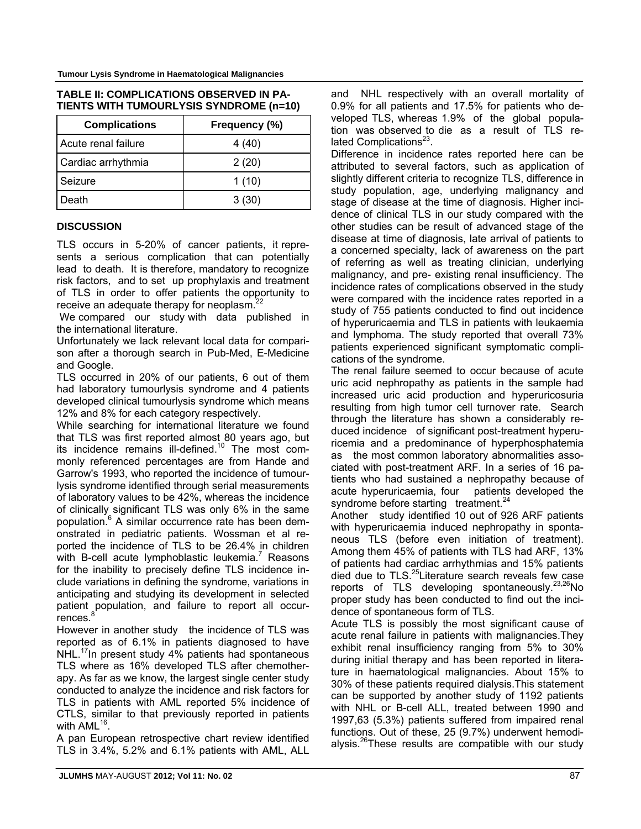| <b>Complications</b> | Frequency (%) |  |
|----------------------|---------------|--|
| Acute renal failure  | 4 (40)        |  |
| Cardiac arrhythmia   | 2(20)         |  |
| Seizure              | 1(10)         |  |
| Death                | 3(30)         |  |

#### **TABLE II: COMPLICATIONS OBSERVED IN PA-TIENTS WITH TUMOURLYSIS SYNDROME (n=10)**

#### **DISCUSSION**

TLS occurs in 5-20% of cancer patients, it represents a serious complication that can potentially lead to death. It is therefore, mandatory to recognize risk factors, and to set up prophylaxis and treatment of TLS in order to offer patients the opportunity to receive an adequate therapy for neoplasm.<sup>22</sup>

We compared our study with data published in the international literature.

Unfortunately we lack relevant local data for comparison after a thorough search in Pub-Med, E-Medicine and Google.

TLS occurred in 20% of our patients, 6 out of them had laboratory tumourlysis syndrome and 4 patients developed clinical tumourlysis syndrome which means 12% and 8% for each category respectively.

While searching for international literature we found that TLS was first reported almost 80 years ago, but its incidence remains ill-defined.<sup>10</sup> The most commonly referenced percentages are from Hande and Garrow's 1993, who reported the incidence of tumourlysis syndrome identified through serial measurements of laboratory values to be 42%, whereas the incidence of clinically significant TLS was only 6% in the same population.<sup>6</sup> A similar occurrence rate has been demonstrated in pediatric patients. Wossman et al reported the incidence of TLS to be 26.4% in children with B-cell acute lymphoblastic leukemia.<sup>7</sup> Reasons for the inability to precisely define TLS incidence include variations in defining the syndrome, variations in anticipating and studying its development in selected patient population, and failure to report all occurrences.<sup>8</sup>

However in another study the incidence of TLS was reported as of 6.1% in patients diagnosed to have NHL.<sup>17</sup>In present study 4% patients had spontaneous TLS where as 16% developed TLS after chemotherapy. As far as we know, the largest single center study conducted to analyze the incidence and risk factors for TLS in patients with AML reported 5% incidence of CTLS, similar to that previously reported in patients with AML<sup>16</sup>.

A pan European retrospective chart review identified TLS in 3.4%, 5.2% and 6.1% patients with AML, ALL and NHL respectively with an overall mortality of 0.9% for all patients and 17.5% for patients who developed TLS, whereas 1.9% of the global population was observed to die as a result of TLS related Complications $^{23}$ .

Difference in incidence rates reported here can be attributed to several factors, such as application of slightly different criteria to recognize TLS, difference in study population, age, underlying malignancy and stage of disease at the time of diagnosis. Higher incidence of clinical TLS in our study compared with the other studies can be result of advanced stage of the disease at time of diagnosis, late arrival of patients to a concerned specialty, lack of awareness on the part of referring as well as treating clinician, underlying malignancy, and pre- existing renal insufficiency. The incidence rates of complications observed in the study were compared with the incidence rates reported in a study of 755 patients conducted to find out incidence of hyperuricaemia and TLS in patients with leukaemia and lymphoma. The study reported that overall 73% patients experienced significant symptomatic complications of the syndrome.

The renal failure seemed to occur because of acute uric acid nephropathy as patients in the sample had increased uric acid production and hyperuricosuria resulting from high tumor cell turnover rate. Search through the literature has shown a considerably reduced incidence of significant post-treatment hyperuricemia and a predominance of hyperphosphatemia as the most common laboratory abnormalities associated with post-treatment ARF. In a series of 16 patients who had sustained a nephropathy because of acute hyperuricaemia, four patients developed the syndrome before starting treatment.<sup>24</sup>

Another study identified 10 out of 926 ARF patients with hyperuricaemia induced nephropathy in spontaneous TLS (before even initiation of treatment). Among them 45% of patients with TLS had ARF, 13% of patients had cardiac arrhythmias and 15% patients died due to TLS.<sup>25</sup>Literature search reveals few case reports of TLS developing spontaneously. $23,26$ No proper study has been conducted to find out the incidence of spontaneous form of TLS.

Acute TLS is possibly the most significant cause of acute renal failure in patients with malignancies.They exhibit renal insufficiency ranging from 5% to 30% during initial therapy and has been reported in literature in haematological malignancies. About 15% to 30% of these patients required dialysis.This statement can be supported by another study of 1192 patients with NHL or B-cell ALL, treated between 1990 and 1997,63 (5.3%) patients suffered from impaired renal functions. Out of these, 25 (9.7%) underwent hemodialysis. $26T$ hese results are compatible with our study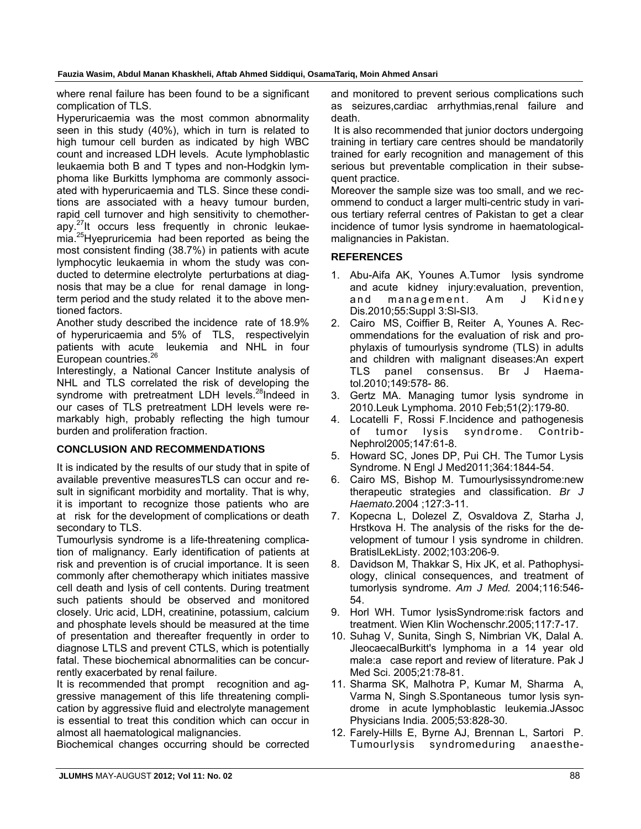**Fauzia Wasim, Abdul Manan Khaskheli, Aftab Ahmed Siddiqui, OsamaTariq, Moin Ahmed Ansari** 

where renal failure has been found to be a significant complication of TLS.

Hyperuricaemia was the most common abnormality seen in this study (40%), which in turn is related to high tumour cell burden as indicated by high WBC count and increased LDH levels. Acute lymphoblastic leukaemia both B and T types and non-Hodgkin lymphoma like Burkitts lymphoma are commonly associated with hyperuricaemia and TLS. Since these conditions are associated with a heavy tumour burden, rapid cell turnover and high sensitivity to chemotherapy.27It occurs less frequently in chronic leukaemia.<sup>25</sup>Hyepruricemia had been reported as being the most consistent finding (38.7%) in patients with acute lymphocytic leukaemia in whom the study was conducted to determine electrolyte perturbations at diagnosis that may be a clue for renal damage in longterm period and the study related it to the above mentioned factors.

Another study described the incidence rate of 18.9% of hyperuricaemia and 5% of TLS, respectivelyin patients with acute leukemia and NHL in four European countries.<sup>26</sup>

Interestingly, a National Cancer Institute analysis of NHL and TLS correlated the risk of developing the syndrome with pretreatment LDH levels.<sup>28</sup>Indeed in our cases of TLS pretreatment LDH levels were remarkably high, probably reflecting the high tumour burden and proliferation fraction.

### **CONCLUSION AND RECOMMENDATIONS**

It is indicated by the results of our study that in spite of available preventive measuresTLS can occur and result in significant morbidity and mortality. That is why, it is important to recognize those patients who are at risk for the development of complications or death secondary to TLS.

Tumourlysis syndrome is a life-threatening complication of malignancy. Early identification of patients at risk and prevention is of crucial importance. It is seen commonly after chemotherapy which initiates massive cell death and lysis of cell contents. During treatment such patients should be observed and monitored closely. Uric acid, LDH, creatinine, potassium, calcium and phosphate levels should be measured at the time of presentation and thereafter frequently in order to diagnose LTLS and prevent CTLS, which is potentially fatal. These biochemical abnormalities can be concurrently exacerbated by renal failure.

It is recommended that prompt recognition and aggressive management of this life threatening complication by aggressive fluid and electrolyte management is essential to treat this condition which can occur in almost all haematological malignancies.

Biochemical changes occurring should be corrected

and monitored to prevent serious complications such as seizures,cardiac arrhythmias,renal failure and death.

 It is also recommended that junior doctors undergoing training in tertiary care centres should be mandatorily trained for early recognition and management of this serious but preventable complication in their subsequent practice.

Moreover the sample size was too small, and we recommend to conduct a larger multi-centric study in various tertiary referral centres of Pakistan to get a clear incidence of tumor lysis syndrome in haematologicalmalignancies in Pakistan.

#### **REFERENCES**

- 1. Abu-Aifa AK, Younes A.Tumor lysis syndrome and acute kidney injury:evaluation, prevention, and management. Am J Kidney Dis.2010;55:Suppl 3:Sl-SI3.
- 2. Cairo MS, Coiffier B, Reiter A, Younes A. Recommendations for the evaluation of risk and prophylaxis of tumourlysis syndrome (TLS) in adults and children with malignant diseases:An expert TLS panel consensus. Br J Haematol.2010;149:578- 86.
- 3. Gertz MA. Managing tumor lysis syndrome in 2010.Leuk Lymphoma. 2010 Feb;51(2):179-80.
- 4. Locatelli F, Rossi F.Incidence and pathogenesis of tumor lysis syndrome. Contrib-Nephrol2005;147:61-8.
- 5. Howard SC, Jones DP, Pui CH. The Tumor Lysis Syndrome. N Engl J Med2011;364:1844-54.
- 6. Cairo MS, Bishop M. Tumourlysissyndrome:new therapeutic strategies and classification. *Br J Haemato.*2004 ;127:3-11.
- 7. Kopecna L, Dolezel Z, Osvaldova Z, Starha J, Hrstkova H. The analysis of the risks for the development of tumour l ysis syndrome in children. BratislLekListy. 2002;103:206-9.
- 8. Davidson M, Thakkar S, Hix JK, et al. Pathophysiology, clinical consequences, and treatment of tumorlysis syndrome. *Am J Med.* 2004;116:546- 54.
- 9. Horl WH. Tumor lysisSyndrome:risk factors and treatment. Wien Klin Wochenschr.2005;117:7-17.
- 10. Suhag V, Sunita, Singh S, Nimbrian VK, Dalal A. JleocaecalBurkitt's lymphoma in a 14 year old male:a case report and review of literature. Pak J Med Sci. 2005;21:78-81.
- 11. Sharma SK, Malhotra P, Kumar M, Sharma A, Varma N, Singh S.Spontaneous tumor lysis syndrome in acute lymphoblastic leukemia.JAssoc Physicians India. 2005;53:828-30.
- 12. Farely-Hills E, Byrne AJ, Brennan L, Sartori P. Tumourlysis syndromeduring anaesthe-